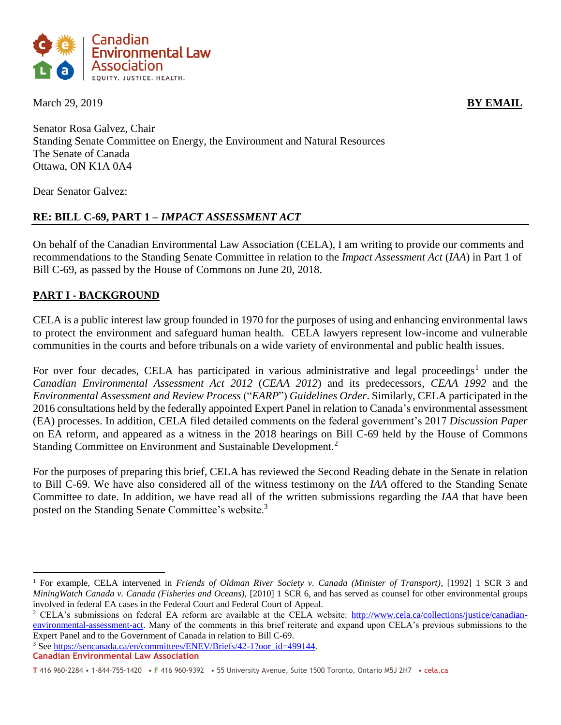

**March 29, 2019 BY EMAIL** 

Senator Rosa Galvez, Chair Standing Senate Committee on Energy, the Environment and Natural Resources The Senate of Canada Ottawa, ON K1A 0A4

Dear Senator Galvez:

# **RE: BILL C-69, PART 1 –** *IMPACT ASSESSMENT ACT*

On behalf of the Canadian Environmental Law Association (CELA), I am writing to provide our comments and recommendations to the Standing Senate Committee in relation to the *Impact Assessment Act* (*IAA*) in Part 1 of Bill C-69, as passed by the House of Commons on June 20, 2018.

# **PART I - BACKGROUND**

CELA is a public interest law group founded in 1970 for the purposes of using and enhancing environmental laws to protect the environment and safeguard human health. CELA lawyers represent low-income and vulnerable communities in the courts and before tribunals on a wide variety of environmental and public health issues.

For over four decades, CELA has participated in various administrative and legal proceedings<sup>1</sup> under the *Canadian Environmental Assessment Act 2012* (*CEAA 2012*) and its predecessors, *CEAA 1992* and the *Environmental Assessment and Review Process* ("*EARP*") *Guidelines Order*. Similarly, CELA participated in the 2016 consultations held by the federally appointed Expert Panel in relation to Canada's environmental assessment (EA) processes. In addition, CELA filed detailed comments on the federal government's 2017 *Discussion Paper* on EA reform, and appeared as a witness in the 2018 hearings on Bill C-69 held by the House of Commons Standing Committee on Environment and Sustainable Development*.* 2

For the purposes of preparing this brief, CELA has reviewed the Second Reading debate in the Senate in relation to Bill C-69. We have also considered all of the witness testimony on the *IAA* offered to the Standing Senate Committee to date. In addition, we have read all of the written submissions regarding the *IAA* that have been posted on the Standing Senate Committee's website.<sup>3</sup>

<sup>3</sup> Se[e https://sencanada.ca/en/committees/ENEV/Briefs/42-1?oor\\_id=499144.](https://sencanada.ca/en/committees/ENEV/Briefs/42-1?oor_id=499144)

<sup>1</sup> For example, CELA intervened in *Friends of Oldman River Society v. Canada (Minister of Transport)*, [1992] 1 SCR 3 and *MiningWatch Canada v. Canada (Fisheries and Oceans),* [2010] 1 SCR 6, and has served as counsel for other environmental groups involved in federal EA cases in the Federal Court and Federal Court of Appeal.

<sup>&</sup>lt;sup>2</sup> CELA's submissions on federal EA reform are available at the CELA website: [http://www.cela.ca/collections/justice/canadian](http://www.cela.ca/collections/justice/canadian-environmental-assessment-act)[environmental-assessment-act.](http://www.cela.ca/collections/justice/canadian-environmental-assessment-act) Many of the comments in this brief reiterate and expand upon CELA's previous submissions to the Expert Panel and to the Government of Canada in relation to Bill C-69.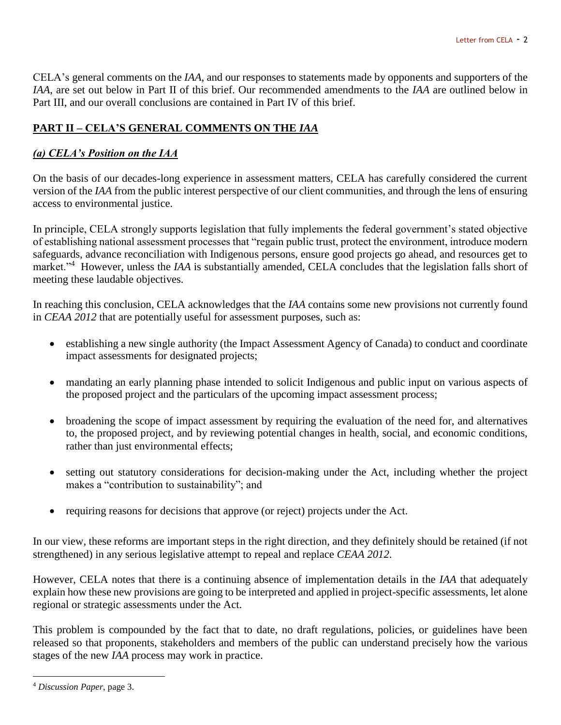CELA's general comments on the *IAA*, and our responses to statements made by opponents and supporters of the *IAA*, are set out below in Part II of this brief. Our recommended amendments to the *IAA* are outlined below in Part III, and our overall conclusions are contained in Part IV of this brief.

# **PART II – CELA'S GENERAL COMMENTS ON THE** *IAA*

# *(a) CELA's Position on the IAA*

On the basis of our decades-long experience in assessment matters, CELA has carefully considered the current version of the *IAA* from the public interest perspective of our client communities, and through the lens of ensuring access to environmental justice.

In principle, CELA strongly supports legislation that fully implements the federal government's stated objective of establishing national assessment processes that "regain public trust, protect the environment, introduce modern safeguards, advance reconciliation with Indigenous persons, ensure good projects go ahead, and resources get to market."<sup>4</sup> However, unless the *IAA* is substantially amended, CELA concludes that the legislation falls short of meeting these laudable objectives.

In reaching this conclusion, CELA acknowledges that the *IAA* contains some new provisions not currently found in *CEAA 2012* that are potentially useful for assessment purposes, such as:

- establishing a new single authority (the Impact Assessment Agency of Canada) to conduct and coordinate impact assessments for designated projects;
- mandating an early planning phase intended to solicit Indigenous and public input on various aspects of the proposed project and the particulars of the upcoming impact assessment process;
- broadening the scope of impact assessment by requiring the evaluation of the need for, and alternatives to, the proposed project, and by reviewing potential changes in health, social, and economic conditions, rather than just environmental effects;
- setting out statutory considerations for decision-making under the Act, including whether the project makes a "contribution to sustainability"; and
- requiring reasons for decisions that approve (or reject) projects under the Act.

In our view, these reforms are important steps in the right direction, and they definitely should be retained (if not strengthened) in any serious legislative attempt to repeal and replace *CEAA 2012*.

However, CELA notes that there is a continuing absence of implementation details in the *IAA* that adequately explain how these new provisions are going to be interpreted and applied in project-specific assessments, let alone regional or strategic assessments under the Act.

This problem is compounded by the fact that to date, no draft regulations, policies, or guidelines have been released so that proponents, stakeholders and members of the public can understand precisely how the various stages of the new *IAA* process may work in practice.

<sup>4</sup> *Discussion Paper*, page 3.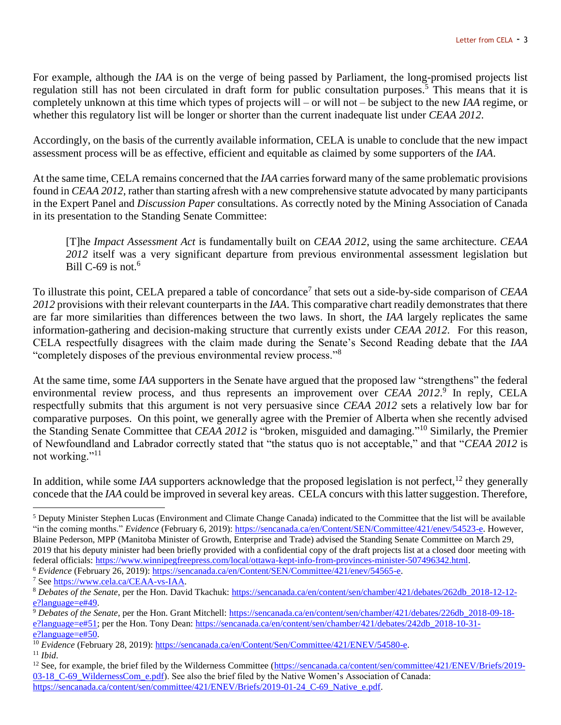For example, although the *IAA* is on the verge of being passed by Parliament, the long-promised projects list regulation still has not been circulated in draft form for public consultation purposes.<sup>5</sup> This means that it is completely unknown at this time which types of projects will – or will not – be subject to the new *IAA* regime, or whether this regulatory list will be longer or shorter than the current inadequate list under *CEAA 2012*.

Accordingly, on the basis of the currently available information, CELA is unable to conclude that the new impact assessment process will be as effective, efficient and equitable as claimed by some supporters of the *IAA*.

At the same time, CELA remains concerned that the *IAA* carries forward many of the same problematic provisions found in *CEAA 2012*, rather than starting afresh with a new comprehensive statute advocated by many participants in the Expert Panel and *Discussion Paper* consultations. As correctly noted by the Mining Association of Canada in its presentation to the Standing Senate Committee:

[T]he *Impact Assessment Act* is fundamentally built on *CEAA 2012*, using the same architecture. *CEAA 2012* itself was a very significant departure from previous environmental assessment legislation but Bill C-69 is not.<sup>6</sup>

To illustrate this point, CELA prepared a table of concordance<sup>7</sup> that sets out a side-by-side comparison of *CEAA 2012* provisions with their relevant counterparts in the *IAA*. This comparative chart readily demonstrates that there are far more similarities than differences between the two laws. In short, the *IAA* largely replicates the same information-gathering and decision-making structure that currently exists under *CEAA 2012*. For this reason, CELA respectfully disagrees with the claim made during the Senate's Second Reading debate that the *IAA* "completely disposes of the previous environmental review process."<sup>8</sup>

At the same time, some *IAA* supporters in the Senate have argued that the proposed law "strengthens" the federal environmental review process, and thus represents an improvement over *CEAA 2012*.<sup>9</sup> In reply, CELA respectfully submits that this argument is not very persuasive since *CEAA 2012* sets a relatively low bar for comparative purposes. On this point, we generally agree with the Premier of Alberta when she recently advised the Standing Senate Committee that *CEAA 2012* is "broken, misguided and damaging." <sup>10</sup> Similarly, the Premier of Newfoundland and Labrador correctly stated that "the status quo is not acceptable," and that "*CEAA 2012* is not working."<sup>11</sup>

In addition, while some *IAA* supporters acknowledge that the proposed legislation is not perfect,<sup>12</sup> they generally concede that the *IAA* could be improved in several key areas. CELA concurs with this latter suggestion. Therefore,

<sup>6</sup> *Evidence* (February 26, 2019): [https://sencanada.ca/en/Content/SEN/Committee/421/enev/54565-e.](https://sencanada.ca/en/Content/SEN/Committee/421/enev/54565-e)

<sup>5</sup> Deputy Minister Stephen Lucas (Environment and Climate Change Canada) indicated to the Committee that the list will be available "in the coming months." *Evidence* (February 6, 2019)[: https://sencanada.ca/en/Content/SEN/Committee/421/enev/54523-e.](https://sencanada.ca/en/Content/SEN/Committee/421/enev/54523-e) However, Blaine Pederson, MPP (Manitoba Minister of Growth, Enterprise and Trade) advised the Standing Senate Committee on March 29, 2019 that his deputy minister had been briefly provided with a confidential copy of the draft projects list at a closed door meeting with federal officials: [https://www.winnipegfreepress.com/local/ottawa-kept-info-from-provinces-minister-507496342.html.](https://www.winnipegfreepress.com/local/ottawa-kept-info-from-provinces-minister-507496342.html)

<sup>7</sup> Se[e https://www.cela.ca/CEAA-vs-IAA.](https://www.cela.ca/CEAA-vs-IAA) 

<sup>8</sup> *Debates of the Senate*, per the Hon. David Tkachuk: [https://sencanada.ca/en/content/sen/chamber/421/debates/262db\\_2018-12-12](https://sencanada.ca/en/content/sen/chamber/421/debates/262db_2018-12-12-e?language=e#49) [e?language=e#49.](https://sencanada.ca/en/content/sen/chamber/421/debates/262db_2018-12-12-e?language=e#49)

<sup>9</sup> *Debates of the Senate,* per the Hon. Grant Mitchell: [https://sencanada.ca/en/content/sen/chamber/421/debates/226db\\_2018-09-18](https://sencanada.ca/en/content/sen/chamber/421/debates/226db_2018-09-18-e?language=e#51) [e?language=e#51;](https://sencanada.ca/en/content/sen/chamber/421/debates/226db_2018-09-18-e?language=e#51) per the Hon. Tony Dean: https://sencanada.ca/en/content/sen/chamber/421/debates/242db 2018-10-31[e?language=e#50.](https://sencanada.ca/en/content/sen/chamber/421/debates/242db_2018-10-31-e?language=e#50)

<sup>&</sup>lt;sup>10</sup> *Evidence* (February 28, 2019)[: https://sencanada.ca/en/Content/Sen/Committee/421/ENEV/54580-e.](https://sencanada.ca/en/Content/Sen/Committee/421/ENEV/54580-e)

<sup>11</sup> *Ibid*.

<sup>&</sup>lt;sup>12</sup> See, for example, the brief filed by the Wilderness Committee [\(https://sencanada.ca/content/sen/committee/421/ENEV/Briefs/2019-](https://sencanada.ca/content/sen/committee/421/ENEV/Briefs/2019-03-18_C-69_WildernessCom_e.pdf) 03-18 C-69 WildernessCom e.pdf). See also the brief filed by the Native Women's Association of Canada: [https://sencanada.ca/content/sen/committee/421/ENEV/Briefs/2019-01-24\\_C-69\\_Native\\_e.pdf.](https://sencanada.ca/content/sen/committee/421/ENEV/Briefs/2019-01-24_C-69_Native_e.pdf)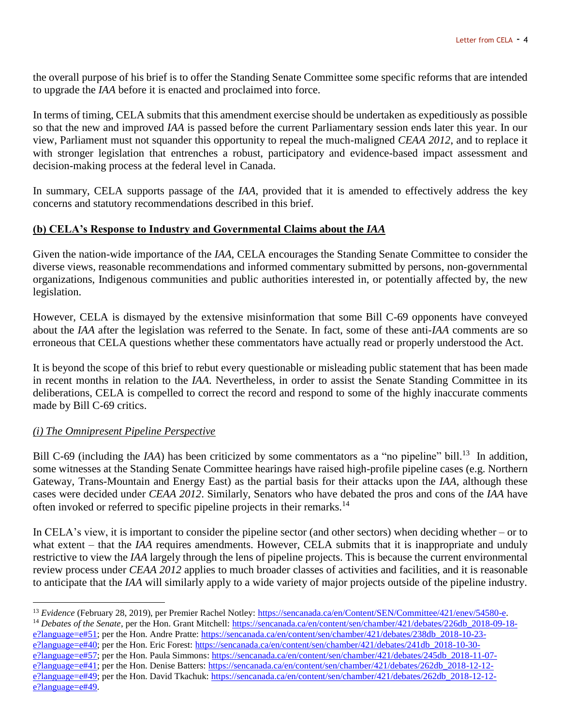the overall purpose of his brief is to offer the Standing Senate Committee some specific reforms that are intended to upgrade the *IAA* before it is enacted and proclaimed into force.

In terms of timing, CELA submits that this amendment exercise should be undertaken as expeditiously as possible so that the new and improved *IAA* is passed before the current Parliamentary session ends later this year. In our view, Parliament must not squander this opportunity to repeal the much-maligned *CEAA 2012*, and to replace it with stronger legislation that entrenches a robust, participatory and evidence-based impact assessment and decision-making process at the federal level in Canada.

In summary, CELA supports passage of the *IAA*, provided that it is amended to effectively address the key concerns and statutory recommendations described in this brief.

## **(b) CELA's Response to Industry and Governmental Claims about the** *IAA*

Given the nation-wide importance of the *IAA*, CELA encourages the Standing Senate Committee to consider the diverse views, reasonable recommendations and informed commentary submitted by persons, non-governmental organizations, Indigenous communities and public authorities interested in, or potentially affected by, the new legislation.

However, CELA is dismayed by the extensive misinformation that some Bill C-69 opponents have conveyed about the *IAA* after the legislation was referred to the Senate. In fact, some of these anti-*IAA* comments are so erroneous that CELA questions whether these commentators have actually read or properly understood the Act.

It is beyond the scope of this brief to rebut every questionable or misleading public statement that has been made in recent months in relation to the *IAA*. Nevertheless, in order to assist the Senate Standing Committee in its deliberations, CELA is compelled to correct the record and respond to some of the highly inaccurate comments made by Bill C-69 critics.

## *(i) The Omnipresent Pipeline Perspective*

 $\overline{a}$ 

Bill C-69 (including the *IAA*) has been criticized by some commentators as a "no pipeline" bill.<sup>13</sup> In addition, some witnesses at the Standing Senate Committee hearings have raised high-profile pipeline cases (e.g. Northern Gateway, Trans-Mountain and Energy East) as the partial basis for their attacks upon the *IAA,* although these cases were decided under *CEAA 2012*. Similarly, Senators who have debated the pros and cons of the *IAA* have often invoked or referred to specific pipeline projects in their remarks.<sup>14</sup>

In CELA's view, it is important to consider the pipeline sector (and other sectors) when deciding whether – or to what extent – that the *IAA* requires amendments. However, CELA submits that it is inappropriate and unduly restrictive to view the *IAA* largely through the lens of pipeline projects. This is because the current environmental review process under *CEAA 2012* applies to much broader classes of activities and facilities, and it is reasonable to anticipate that the *IAA* will similarly apply to a wide variety of major projects outside of the pipeline industry.

[e?language=e#40;](https://sencanada.ca/en/content/sen/chamber/421/debates/238db_2018-10-23-e?language=e#40) per the Hon. Eric Forest: [https://sencanada.ca/en/content/sen/chamber/421/debates/241db\\_2018-10-30](https://sencanada.ca/en/content/sen/chamber/421/debates/241db_2018-10-30-e?language=e#57) [e?language=e#57;](https://sencanada.ca/en/content/sen/chamber/421/debates/241db_2018-10-30-e?language=e#57) per the Hon. Paula Simmons: [https://sencanada.ca/en/content/sen/chamber/421/debates/245db\\_2018-11-07](https://sencanada.ca/en/content/sen/chamber/421/debates/245db_2018-11-07-e?language=e#41) [e?language=e#41;](https://sencanada.ca/en/content/sen/chamber/421/debates/245db_2018-11-07-e?language=e#41) per the Hon. Denise Batters: [https://sencanada.ca/en/content/sen/chamber/421/debates/262db\\_2018-12-12](https://sencanada.ca/en/content/sen/chamber/421/debates/262db_2018-12-12-e?language=e#49) [e?language=e#49;](https://sencanada.ca/en/content/sen/chamber/421/debates/262db_2018-12-12-e?language=e#49) per the Hon. David Tkachuk[: https://sencanada.ca/en/content/sen/chamber/421/debates/262db\\_2018-12-12](https://sencanada.ca/en/content/sen/chamber/421/debates/262db_2018-12-12-e?language=e#49) [e?language=e#49.](https://sencanada.ca/en/content/sen/chamber/421/debates/262db_2018-12-12-e?language=e#49)

<sup>13</sup> *Evidence* (February 28, 2019), per Premier Rachel Notley: [https://sencanada.ca/en/Content/SEN/Committee/421/enev/54580-e.](https://sencanada.ca/en/Content/SEN/Committee/421/enev/54580-e)

<sup>&</sup>lt;sup>14</sup> Debates of the Senate, per the Hon. Grant Mitchell: [https://sencanada.ca/en/content/sen/chamber/421/debates/226db\\_2018-09-18](https://sencanada.ca/en/content/sen/chamber/421/debates/226db_2018-09-18-e?language=e#51) [e?language=e#51;](https://sencanada.ca/en/content/sen/chamber/421/debates/226db_2018-09-18-e?language=e#51) per the Hon. Andre Pratte[: https://sencanada.ca/en/content/sen/chamber/421/debates/238db\\_2018-10-23-](https://sencanada.ca/en/content/sen/chamber/421/debates/238db_2018-10-23-e?language=e#40)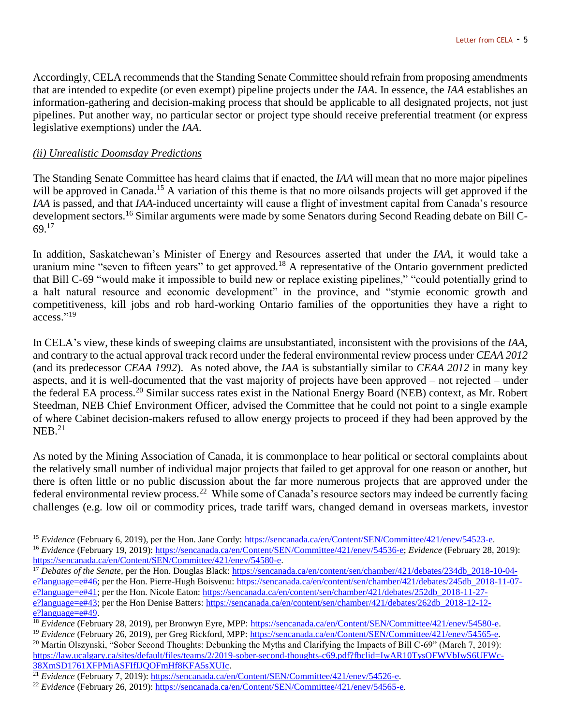Accordingly, CELA recommends that the Standing Senate Committee should refrain from proposing amendments that are intended to expedite (or even exempt) pipeline projects under the *IAA*. In essence, the *IAA* establishes an information-gathering and decision-making process that should be applicable to all designated projects, not just pipelines. Put another way, no particular sector or project type should receive preferential treatment (or express legislative exemptions) under the *IAA*.

## *(ii) Unrealistic Doomsday Predictions*

 $\overline{a}$ 

The Standing Senate Committee has heard claims that if enacted, the *IAA* will mean that no more major pipelines will be approved in Canada.<sup>15</sup> A variation of this theme is that no more oilsands projects will get approved if the *IAA* is passed, and that *IAA*-induced uncertainty will cause a flight of investment capital from Canada's resource development sectors.<sup>16</sup> Similar arguments were made by some Senators during Second Reading debate on Bill C-69.<sup>17</sup>

In addition, Saskatchewan's Minister of Energy and Resources asserted that under the *IAA*, it would take a uranium mine "seven to fifteen years" to get approved.<sup>18</sup> A representative of the Ontario government predicted that Bill C-69 "would make it impossible to build new or replace existing pipelines," "could potentially grind to a halt natural resource and economic development" in the province, and "stymie economic growth and competitiveness, kill jobs and rob hard-working Ontario families of the opportunities they have a right to access." 19

In CELA's view, these kinds of sweeping claims are unsubstantiated, inconsistent with the provisions of the *IAA*, and contrary to the actual approval track record under the federal environmental review process under *CEAA 2012* (and its predecessor *CEAA 1992*). As noted above, the *IAA* is substantially similar to *CEAA 2012* in many key aspects, and it is well-documented that the vast majority of projects have been approved – not rejected – under the federal EA process.<sup>20</sup> Similar success rates exist in the National Energy Board (NEB) context, as Mr. Robert Steedman, NEB Chief Environment Officer, advised the Committee that he could not point to a single example of where Cabinet decision-makers refused to allow energy projects to proceed if they had been approved by the  $NEB.<sup>21</sup>$ 

As noted by the Mining Association of Canada, it is commonplace to hear political or sectoral complaints about the relatively small number of individual major projects that failed to get approval for one reason or another, but there is often little or no public discussion about the far more numerous projects that are approved under the federal environmental review process.<sup>22</sup> While some of Canada's resource sectors may indeed be currently facing challenges (e.g. low oil or commodity prices, trade tariff wars, changed demand in overseas markets, investor

<sup>20</sup> Martin Olszynski, "Sober Second Thoughts: Debunking the Myths and Clarifying the Impacts of Bill C-69" (March 7, 2019): [https://law.ucalgary.ca/sites/default/files/teams/2/2019-sober-second-thoughts-c69.pdf?fbclid=IwAR10TysOFWVbIwS6UFWc-](https://law.ucalgary.ca/sites/default/files/teams/2/2019-sober-second-thoughts-c69.pdf?fbclid=IwAR10TysOFWVbIwS6UFWc-38XmSD1761XFPMiASFIfIJQOFmHf8KFA5sXUIc)[38XmSD1761XFPMiASFIfIJQOFmHf8KFA5sXUIc.](https://law.ucalgary.ca/sites/default/files/teams/2/2019-sober-second-thoughts-c69.pdf?fbclid=IwAR10TysOFWVbIwS6UFWc-38XmSD1761XFPMiASFIfIJQOFmHf8KFA5sXUIc)

<sup>15</sup> *Evidence* (February 6, 2019), per the Hon. Jane Cordy: [https://sencanada.ca/en/Content/SEN/Committee/421/enev/54523-e.](https://sencanada.ca/en/Content/SEN/Committee/421/enev/54523-e) <sup>16</sup> *Evidence* (February 19, 2019)[: https://sencanada.ca/en/Content/SEN/Committee/421/enev/54536-e;](https://sencanada.ca/en/Content/SEN/Committee/421/enev/54536-e) *Evidence* (February 28, 2019): [https://sencanada.ca/en/Content/SEN/Committee/421/enev/54580-e.](https://sencanada.ca/en/Content/SEN/Committee/421/enev/54580-e)

<sup>&</sup>lt;sup>17</sup> Debates of the Senate, per the Hon. Douglas Black: [https://sencanada.ca/en/content/sen/chamber/421/debates/234db\\_2018-10-04](https://sencanada.ca/en/content/sen/chamber/421/debates/234db_2018-10-04-e?language=e#46) [e?language=e#46;](https://sencanada.ca/en/content/sen/chamber/421/debates/234db_2018-10-04-e?language=e#46) per the Hon. Pierre-Hugh Boisvenu: [https://sencanada.ca/en/content/sen/chamber/421/debates/245db\\_2018-11-07](https://sencanada.ca/en/content/sen/chamber/421/debates/245db_2018-11-07-e?language=e#41) [e?language=e#41;](https://sencanada.ca/en/content/sen/chamber/421/debates/245db_2018-11-07-e?language=e#41) per the Hon. Nicole Eaton: [https://sencanada.ca/en/content/sen/chamber/421/debates/252db\\_2018-11-27](https://sencanada.ca/en/content/sen/chamber/421/debates/252db_2018-11-27-e?language=e#43) [e?language=e#43;](https://sencanada.ca/en/content/sen/chamber/421/debates/252db_2018-11-27-e?language=e#43) per the Hon Denise Batters: https://sencanada.ca/en/content/sen/chamber/421/debates/262db 2018-12-12[e?language=e#49.](https://sencanada.ca/en/content/sen/chamber/421/debates/262db_2018-12-12-e?language=e#49)

<sup>18</sup> *Evidence* (February 28, 2019), per Bronwyn Eyre, MPP: [https://sencanada.ca/en/Content/SEN/Committee/421/enev/54580-e.](https://sencanada.ca/en/Content/SEN/Committee/421/enev/54580-e) <sup>19</sup> *Evidence* (February 26, 2019), per Greg Rickford, MPP: [https://sencanada.ca/en/Content/SEN/Committee/421/enev/54565-e.](https://sencanada.ca/en/Content/SEN/Committee/421/enev/54565-e)

<sup>21</sup> *Evidence* (February 7, 2019)[: https://sencanada.ca/en/Content/SEN/Committee/421/enev/54526-e.](https://sencanada.ca/en/Content/SEN/Committee/421/enev/54526-e)

<sup>&</sup>lt;sup>22</sup> *Evidence* (February 26, 2019)[: https://sencanada.ca/en/Content/SEN/Committee/421/enev/54565-e.](https://sencanada.ca/en/Content/SEN/Committee/421/enev/54565-e)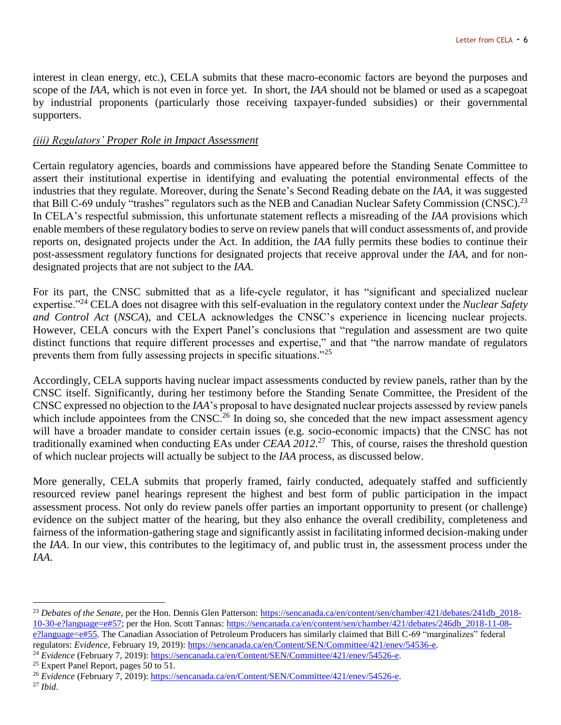interest in clean energy, etc.), CELA submits that these macro-economic factors are beyond the purposes and scope of the *IAA*, which is not even in force yet. In short, the *IAA* should not be blamed or used as a scapegoat by industrial proponents (particularly those receiving taxpayer-funded subsidies) or their governmental supporters.

## *(iii) Regulators' Proper Role in Impact Assessment*

Certain regulatory agencies, boards and commissions have appeared before the Standing Senate Committee to assert their institutional expertise in identifying and evaluating the potential environmental effects of the industries that they regulate. Moreover, during the Senate's Second Reading debate on the *IAA*, it was suggested that Bill C-69 unduly "trashes" regulators such as the NEB and Canadian Nuclear Safety Commission (CNSC).<sup>23</sup> In CELA's respectful submission, this unfortunate statement reflects a misreading of the *IAA* provisions which enable members of these regulatory bodies to serve on review panels that will conduct assessments of, and provide reports on, designated projects under the Act. In addition, the *IAA* fully permits these bodies to continue their post-assessment regulatory functions for designated projects that receive approval under the *IAA*, and for nondesignated projects that are not subject to the *IAA*.

For its part, the CNSC submitted that as a life-cycle regulator, it has "significant and specialized nuclear expertise."<sup>24</sup> CELA does not disagree with this self-evaluation in the regulatory context under the *Nuclear Safety and Control Act* (*NSCA*), and CELA acknowledges the CNSC's experience in licencing nuclear projects. However, CELA concurs with the Expert Panel's conclusions that "regulation and assessment are two quite distinct functions that require different processes and expertise," and that "the narrow mandate of regulators prevents them from fully assessing projects in specific situations."<sup>25</sup>

Accordingly, CELA supports having nuclear impact assessments conducted by review panels, rather than by the CNSC itself. Significantly, during her testimony before the Standing Senate Committee, the President of the CNSC expressed no objection to the *IAA*'s proposal to have designated nuclear projects assessed by review panels which include appointees from the CNSC.<sup>26</sup> In doing so, she conceded that the new impact assessment agency will have a broader mandate to consider certain issues (e.g. socio-economic impacts) that the CNSC has not traditionally examined when conducting EAs under *CEAA 2012*. <sup>27</sup> This, of course, raises the threshold question of which nuclear projects will actually be subject to the *IAA* process, as discussed below.

More generally, CELA submits that properly framed, fairly conducted, adequately staffed and sufficiently resourced review panel hearings represent the highest and best form of public participation in the impact assessment process. Not only do review panels offer parties an important opportunity to present (or challenge) evidence on the subject matter of the hearing, but they also enhance the overall credibility, completeness and fairness of the information-gathering stage and significantly assist in facilitating informed decision-making under the *IAA*. In our view, this contributes to the legitimacy of, and public trust in, the assessment process under the *IAA*.

<sup>24</sup> *Evidence* (February 7, 2019)[: https://sencanada.ca/en/Content/SEN/Committee/421/enev/54526-e.](https://sencanada.ca/en/Content/SEN/Committee/421/enev/54526-e)

<sup>&</sup>lt;sup>23</sup> Debates of the Senate, per the Hon. Dennis Glen Patterson: [https://sencanada.ca/en/content/sen/chamber/421/debates/241db\\_2018-](https://sencanada.ca/en/content/sen/chamber/421/debates/241db_2018-10-30-e?language=e#57) [10-30-e?language=e#57;](https://sencanada.ca/en/content/sen/chamber/421/debates/241db_2018-10-30-e?language=e#57) per the Hon. Scott Tannas: [https://sencanada.ca/en/content/sen/chamber/421/debates/246db\\_2018-11-08](https://sencanada.ca/en/content/sen/chamber/421/debates/246db_2018-11-08-e?language=e#55) [e?language=e#55.](https://sencanada.ca/en/content/sen/chamber/421/debates/246db_2018-11-08-e?language=e#55) The Canadian Association of Petroleum Producers has similarly claimed that Bill C-69 "marginalizes" federal regulators: *Evidence*, February 19, 2019): [https://sencanada.ca/en/Content/SEN/Committee/421/enev/54536-e.](https://sencanada.ca/en/Content/SEN/Committee/421/enev/54536-e)

<sup>&</sup>lt;sup>25</sup> Expert Panel Report, pages  $50$  to  $51$ .

<sup>26</sup> *Evidence* (February 7, 2019)[: https://sencanada.ca/en/Content/SEN/Committee/421/enev/54526-e.](https://sencanada.ca/en/Content/SEN/Committee/421/enev/54526-e)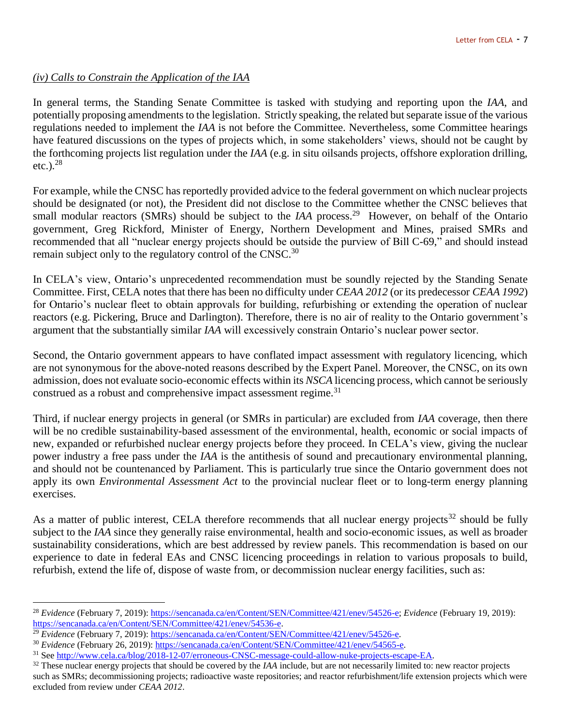## *(iv) Calls to Constrain the Application of the IAA*

In general terms, the Standing Senate Committee is tasked with studying and reporting upon the *IAA*, and potentially proposing amendments to the legislation. Strictly speaking, the related but separate issue of the various regulations needed to implement the *IAA* is not before the Committee. Nevertheless, some Committee hearings have featured discussions on the types of projects which, in some stakeholders' views, should not be caught by the forthcoming projects list regulation under the *IAA* (e.g. in situ oilsands projects, offshore exploration drilling, etc.). $^{28}$ 

For example, while the CNSC has reportedly provided advice to the federal government on which nuclear projects should be designated (or not), the President did not disclose to the Committee whether the CNSC believes that small modular reactors (SMRs) should be subject to the *IAA* process.<sup>29</sup> However, on behalf of the Ontario government, Greg Rickford, Minister of Energy, Northern Development and Mines, praised SMRs and recommended that all "nuclear energy projects should be outside the purview of Bill C-69," and should instead remain subject only to the regulatory control of the CNSC.<sup>30</sup>

In CELA's view, Ontario's unprecedented recommendation must be soundly rejected by the Standing Senate Committee. First, CELA notes that there has been no difficulty under *CEAA 2012* (or its predecessor *CEAA 1992*) for Ontario's nuclear fleet to obtain approvals for building, refurbishing or extending the operation of nuclear reactors (e.g. Pickering, Bruce and Darlington). Therefore, there is no air of reality to the Ontario government's argument that the substantially similar *IAA* will excessively constrain Ontario's nuclear power sector.

Second, the Ontario government appears to have conflated impact assessment with regulatory licencing, which are not synonymous for the above-noted reasons described by the Expert Panel. Moreover, the CNSC, on its own admission, does not evaluate socio-economic effects within its *NSCA* licencing process, which cannot be seriously construed as a robust and comprehensive impact assessment regime.<sup>31</sup>

Third, if nuclear energy projects in general (or SMRs in particular) are excluded from *IAA* coverage, then there will be no credible sustainability-based assessment of the environmental, health, economic or social impacts of new, expanded or refurbished nuclear energy projects before they proceed. In CELA's view, giving the nuclear power industry a free pass under the *IAA* is the antithesis of sound and precautionary environmental planning, and should not be countenanced by Parliament. This is particularly true since the Ontario government does not apply its own *Environmental Assessment Act* to the provincial nuclear fleet or to long-term energy planning exercises.

As a matter of public interest, CELA therefore recommends that all nuclear energy projects<sup>32</sup> should be fully subject to the *IAA* since they generally raise environmental, health and socio-economic issues, as well as broader sustainability considerations, which are best addressed by review panels. This recommendation is based on our experience to date in federal EAs and CNSC licencing proceedings in relation to various proposals to build, refurbish, extend the life of, dispose of waste from, or decommission nuclear energy facilities, such as:

<sup>28</sup> *Evidence* (February 7, 2019)[: https://sencanada.ca/en/Content/SEN/Committee/421/enev/54526-e;](https://sencanada.ca/en/Content/SEN/Committee/421/enev/54526-e) *Evidence* (February 19, 2019): [https://sencanada.ca/en/Content/SEN/Committee/421/enev/54536-e.](https://sencanada.ca/en/Content/SEN/Committee/421/enev/54536-e)

<sup>&</sup>lt;sup>29</sup> Evidence (February 7, 2019)[: https://sencanada.ca/en/Content/SEN/Committee/421/enev/54526-e.](https://sencanada.ca/en/Content/SEN/Committee/421/enev/54526-e)

<sup>30</sup> *Evidence* (February 26, 2019)[: https://sencanada.ca/en/Content/SEN/Committee/421/enev/54565-e.](https://sencanada.ca/en/Content/SEN/Committee/421/enev/54565-e)

<sup>31</sup> See [http://www.cela.ca/blog/2018-12-07/erroneous-CNSC-message-could-allow-nuke-projects-escape-EA.](http://www.cela.ca/blog/2018-12-07/erroneous-CNSC-message-could-allow-nuke-projects-escape-EA)

<sup>&</sup>lt;sup>32</sup> These nuclear energy projects that should be covered by the *IAA* include, but are not necessarily limited to: new reactor projects such as SMRs; decommissioning projects; radioactive waste repositories; and reactor refurbishment/life extension projects which were excluded from review under *CEAA 2012*.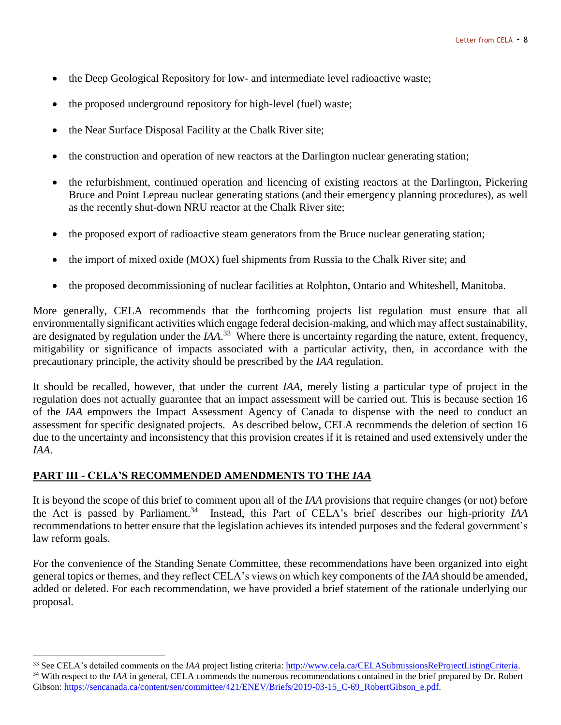- the Deep Geological Repository for low- and intermediate level radioactive waste;
- the proposed underground repository for high-level (fuel) waste;
- the Near Surface Disposal Facility at the Chalk River site;
- the construction and operation of new reactors at the Darlington nuclear generating station;
- the refurbishment, continued operation and licencing of existing reactors at the Darlington, Pickering Bruce and Point Lepreau nuclear generating stations (and their emergency planning procedures), as well as the recently shut-down NRU reactor at the Chalk River site;
- the proposed export of radioactive steam generators from the Bruce nuclear generating station;
- the import of mixed oxide (MOX) fuel shipments from Russia to the Chalk River site; and
- the proposed decommissioning of nuclear facilities at Rolphton, Ontario and Whiteshell, Manitoba.

More generally, CELA recommends that the forthcoming projects list regulation must ensure that all environmentally significant activities which engage federal decision-making, and which may affect sustainability, are designated by regulation under the *IAA*. 33 Where there is uncertainty regarding the nature, extent, frequency, mitigability or significance of impacts associated with a particular activity, then, in accordance with the precautionary principle, the activity should be prescribed by the *IAA* regulation.

It should be recalled, however, that under the current *IAA*, merely listing a particular type of project in the regulation does not actually guarantee that an impact assessment will be carried out. This is because section 16 of the *IAA* empowers the Impact Assessment Agency of Canada to dispense with the need to conduct an assessment for specific designated projects. As described below, CELA recommends the deletion of section 16 due to the uncertainty and inconsistency that this provision creates if it is retained and used extensively under the *IAA*.

## **PART III - CELA'S RECOMMENDED AMENDMENTS TO THE** *IAA*

 $\overline{a}$ 

It is beyond the scope of this brief to comment upon all of the *IAA* provisions that require changes (or not) before the Act is passed by Parliament.<sup>34</sup> Instead, this Part of CELA's brief describes our high-priority *IAA* recommendations to better ensure that the legislation achieves its intended purposes and the federal government's law reform goals.

For the convenience of the Standing Senate Committee, these recommendations have been organized into eight general topics or themes, and they reflect CELA's views on which key components of the *IAA* should be amended, added or deleted. For each recommendation, we have provided a brief statement of the rationale underlying our proposal.

<sup>33</sup> See CELA's detailed comments on the *IAA* project listing criteria: [http://www.cela.ca/CELASubmissionsReProjectListingCriteria.](http://www.cela.ca/CELASubmissionsReProjectListingCriteria) <sup>34</sup> With respect to the *IAA* in general, CELA commends the numerous recommendations contained in the brief prepared by Dr. Robert Gibson: [https://sencanada.ca/content/sen/committee/421/ENEV/Briefs/2019-03-15\\_C-69\\_RobertGibson\\_e.pdf.](https://sencanada.ca/content/sen/committee/421/ENEV/Briefs/2019-03-15_C-69_RobertGibson_e.pdf)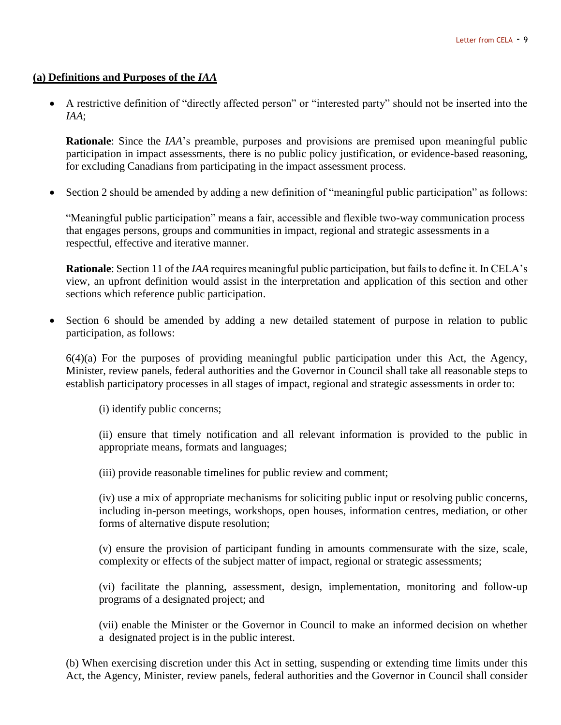#### **(a) Definitions and Purposes of the** *IAA*

 A restrictive definition of "directly affected person" or "interested party" should not be inserted into the *IAA*;

**Rationale**: Since the *IAA*'s preamble, purposes and provisions are premised upon meaningful public participation in impact assessments, there is no public policy justification, or evidence-based reasoning, for excluding Canadians from participating in the impact assessment process.

Section 2 should be amended by adding a new definition of "meaningful public participation" as follows:

"Meaningful public participation" means a fair, accessible and flexible two-way communication process that engages persons, groups and communities in impact, regional and strategic assessments in a respectful, effective and iterative manner.

**Rationale**: Section 11 of the *IAA* requires meaningful public participation, but fails to define it. In CELA's view, an upfront definition would assist in the interpretation and application of this section and other sections which reference public participation.

 Section 6 should be amended by adding a new detailed statement of purpose in relation to public participation, as follows:

6(4)(a) For the purposes of providing meaningful public participation under this Act, the Agency, Minister, review panels, federal authorities and the Governor in Council shall take all reasonable steps to establish participatory processes in all stages of impact, regional and strategic assessments in order to:

(i) identify public concerns;

(ii) ensure that timely notification and all relevant information is provided to the public in appropriate means, formats and languages;

(iii) provide reasonable timelines for public review and comment;

(iv) use a mix of appropriate mechanisms for soliciting public input or resolving public concerns, including in-person meetings, workshops, open houses, information centres, mediation, or other forms of alternative dispute resolution;

(v) ensure the provision of participant funding in amounts commensurate with the size, scale, complexity or effects of the subject matter of impact, regional or strategic assessments;

(vi) facilitate the planning, assessment, design, implementation, monitoring and follow-up programs of a designated project; and

(vii) enable the Minister or the Governor in Council to make an informed decision on whether a designated project is in the public interest.

(b) When exercising discretion under this Act in setting, suspending or extending time limits under this Act, the Agency, Minister, review panels, federal authorities and the Governor in Council shall consider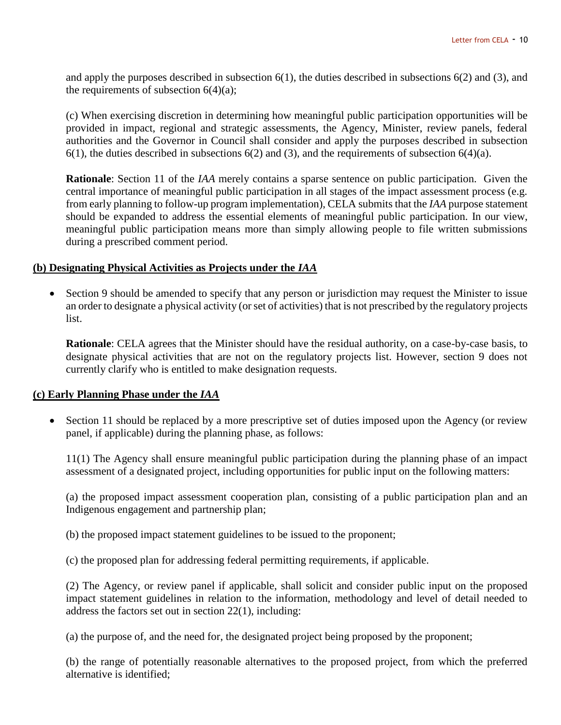and apply the purposes described in subsection 6(1), the duties described in subsections 6(2) and (3), and the requirements of subsection  $6(4)(a)$ ;

(c) When exercising discretion in determining how meaningful public participation opportunities will be provided in impact, regional and strategic assessments, the Agency, Minister, review panels, federal authorities and the Governor in Council shall consider and apply the purposes described in subsection 6(1), the duties described in subsections 6(2) and (3), and the requirements of subsection 6(4)(a).

**Rationale**: Section 11 of the *IAA* merely contains a sparse sentence on public participation. Given the central importance of meaningful public participation in all stages of the impact assessment process (e.g. from early planning to follow-up program implementation), CELA submits that the *IAA* purpose statement should be expanded to address the essential elements of meaningful public participation. In our view, meaningful public participation means more than simply allowing people to file written submissions during a prescribed comment period.

## **(b) Designating Physical Activities as Projects under the** *IAA*

• Section 9 should be amended to specify that any person or jurisdiction may request the Minister to issue an order to designate a physical activity (or set of activities) that is not prescribed by the regulatory projects list.

**Rationale**: CELA agrees that the Minister should have the residual authority, on a case-by-case basis, to designate physical activities that are not on the regulatory projects list. However, section 9 does not currently clarify who is entitled to make designation requests.

## **(c) Early Planning Phase under the** *IAA*

• Section 11 should be replaced by a more prescriptive set of duties imposed upon the Agency (or review panel, if applicable) during the planning phase, as follows:

11(1) The Agency shall ensure meaningful public participation during the planning phase of an impact assessment of a designated project, including opportunities for public input on the following matters:

(a) the proposed impact assessment cooperation plan, consisting of a public participation plan and an Indigenous engagement and partnership plan;

(b) the proposed impact statement guidelines to be issued to the proponent;

(c) the proposed plan for addressing federal permitting requirements, if applicable.

(2) The Agency, or review panel if applicable, shall solicit and consider public input on the proposed impact statement guidelines in relation to the information, methodology and level of detail needed to address the factors set out in section 22(1), including:

(a) the purpose of, and the need for, the designated project being proposed by the proponent;

(b) the range of potentially reasonable alternatives to the proposed project, from which the preferred alternative is identified;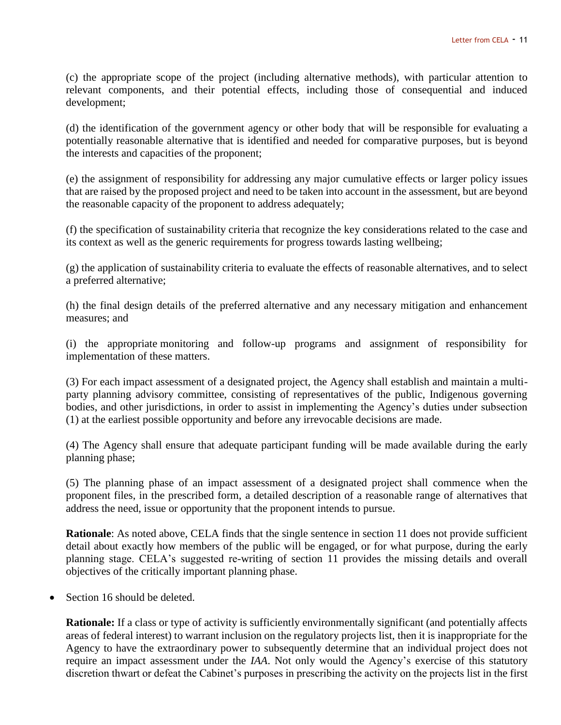(c) the appropriate scope of the project (including alternative methods), with particular attention to relevant components, and their potential effects, including those of consequential and induced development;

(d) the identification of the government agency or other body that will be responsible for evaluating a potentially reasonable alternative that is identified and needed for comparative purposes, but is beyond the interests and capacities of the proponent;

(e) the assignment of responsibility for addressing any major cumulative effects or larger policy issues that are raised by the proposed project and need to be taken into account in the assessment, but are beyond the reasonable capacity of the proponent to address adequately;

(f) the specification of sustainability criteria that recognize the key considerations related to the case and its context as well as the generic requirements for progress towards lasting wellbeing;

(g) the application of sustainability criteria to evaluate the effects of reasonable alternatives, and to select a preferred alternative;

(h) the final design details of the preferred alternative and any necessary mitigation and enhancement measures; and

(i) the appropriate monitoring and follow-up programs and assignment of responsibility for implementation of these matters.

(3) For each impact assessment of a designated project, the Agency shall establish and maintain a multiparty planning advisory committee, consisting of representatives of the public, Indigenous governing bodies, and other jurisdictions, in order to assist in implementing the Agency's duties under subsection (1) at the earliest possible opportunity and before any irrevocable decisions are made.

(4) The Agency shall ensure that adequate participant funding will be made available during the early planning phase;

(5) The planning phase of an impact assessment of a designated project shall commence when the proponent files, in the prescribed form, a detailed description of a reasonable range of alternatives that address the need, issue or opportunity that the proponent intends to pursue.

**Rationale**: As noted above, CELA finds that the single sentence in section 11 does not provide sufficient detail about exactly how members of the public will be engaged, or for what purpose, during the early planning stage. CELA's suggested re-writing of section 11 provides the missing details and overall objectives of the critically important planning phase.

Section 16 should be deleted.

**Rationale:** If a class or type of activity is sufficiently environmentally significant (and potentially affects areas of federal interest) to warrant inclusion on the regulatory projects list, then it is inappropriate for the Agency to have the extraordinary power to subsequently determine that an individual project does not require an impact assessment under the *IAA*. Not only would the Agency's exercise of this statutory discretion thwart or defeat the Cabinet's purposes in prescribing the activity on the projects list in the first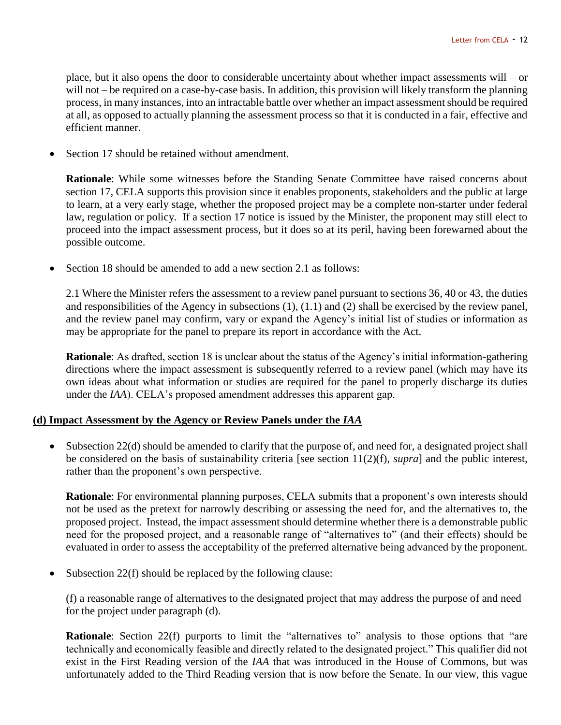place, but it also opens the door to considerable uncertainty about whether impact assessments will – or will not – be required on a case-by-case basis. In addition, this provision will likely transform the planning process, in many instances, into an intractable battle over whether an impact assessment should be required at all, as opposed to actually planning the assessment process so that it is conducted in a fair, effective and efficient manner.

Section 17 should be retained without amendment.

**Rationale**: While some witnesses before the Standing Senate Committee have raised concerns about section 17, CELA supports this provision since it enables proponents, stakeholders and the public at large to learn, at a very early stage, whether the proposed project may be a complete non-starter under federal law, regulation or policy. If a section 17 notice is issued by the Minister, the proponent may still elect to proceed into the impact assessment process, but it does so at its peril, having been forewarned about the possible outcome.

Section 18 should be amended to add a new section 2.1 as follows:

2.1 Where the Minister refers the assessment to a review panel pursuant to sections 36, 40 or 43, the duties and responsibilities of the Agency in subsections (1), (1.1) and (2) shall be exercised by the review panel, and the review panel may confirm, vary or expand the Agency's initial list of studies or information as may be appropriate for the panel to prepare its report in accordance with the Act.

**Rationale**: As drafted, section 18 is unclear about the status of the Agency's initial information-gathering directions where the impact assessment is subsequently referred to a review panel (which may have its own ideas about what information or studies are required for the panel to properly discharge its duties under the *IAA*). CELA's proposed amendment addresses this apparent gap.

#### **(d) Impact Assessment by the Agency or Review Panels under the** *IAA*

• Subsection 22(d) should be amended to clarify that the purpose of, and need for, a designated project shall be considered on the basis of sustainability criteria [see section 11(2)(f), *supra*] and the public interest, rather than the proponent's own perspective.

**Rationale**: For environmental planning purposes, CELA submits that a proponent's own interests should not be used as the pretext for narrowly describing or assessing the need for, and the alternatives to, the proposed project. Instead, the impact assessment should determine whether there is a demonstrable public need for the proposed project, and a reasonable range of "alternatives to" (and their effects) should be evaluated in order to assess the acceptability of the preferred alternative being advanced by the proponent.

Subsection 22(f) should be replaced by the following clause:

(f) a reasonable range of alternatives to the designated project that may address the purpose of and need for the project under paragraph (d).

**Rationale**: Section 22(f) purports to limit the "alternatives to" analysis to those options that "are technically and economically feasible and directly related to the designated project." This qualifier did not exist in the First Reading version of the *IAA* that was introduced in the House of Commons, but was unfortunately added to the Third Reading version that is now before the Senate. In our view, this vague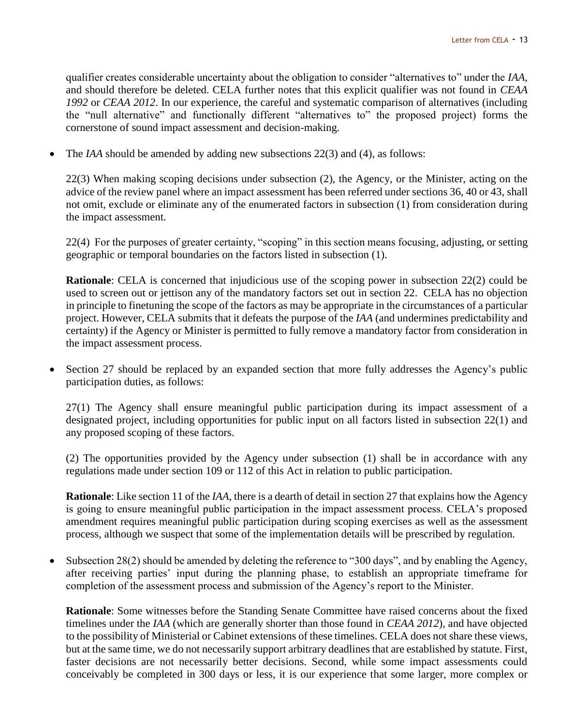qualifier creates considerable uncertainty about the obligation to consider "alternatives to" under the *IAA*, and should therefore be deleted. CELA further notes that this explicit qualifier was not found in *CEAA 1992* or *CEAA 2012*. In our experience, the careful and systematic comparison of alternatives (including the "null alternative" and functionally different "alternatives to" the proposed project) forms the cornerstone of sound impact assessment and decision-making.

The *IAA* should be amended by adding new subsections 22(3) and (4), as follows:

22(3) When making scoping decisions under subsection (2), the Agency, or the Minister, acting on the advice of the review panel where an impact assessment has been referred under sections 36, 40 or 43, shall not omit, exclude or eliminate any of the enumerated factors in subsection (1) from consideration during the impact assessment.

22(4) For the purposes of greater certainty, "scoping" in this section means focusing, adjusting, or setting geographic or temporal boundaries on the factors listed in subsection (1).

**Rationale**: CELA is concerned that injudicious use of the scoping power in subsection 22(2) could be used to screen out or jettison any of the mandatory factors set out in section 22. CELA has no objection in principle to finetuning the scope of the factors as may be appropriate in the circumstances of a particular project. However, CELA submits that it defeats the purpose of the *IAA* (and undermines predictability and certainty) if the Agency or Minister is permitted to fully remove a mandatory factor from consideration in the impact assessment process.

 Section 27 should be replaced by an expanded section that more fully addresses the Agency's public participation duties, as follows:

27(1) The Agency shall ensure meaningful public participation during its impact assessment of a designated project, including opportunities for public input on all factors listed in subsection 22(1) and any proposed scoping of these factors.

(2) The opportunities provided by the Agency under subsection (1) shall be in accordance with any regulations made under section 109 or 112 of this Act in relation to public participation.

**Rationale**: Like section 11 of the *IAA*, there is a dearth of detail in section 27 that explains how the Agency is going to ensure meaningful public participation in the impact assessment process. CELA's proposed amendment requires meaningful public participation during scoping exercises as well as the assessment process, although we suspect that some of the implementation details will be prescribed by regulation.

 Subsection 28(2) should be amended by deleting the reference to "300 days", and by enabling the Agency, after receiving parties' input during the planning phase, to establish an appropriate timeframe for completion of the assessment process and submission of the Agency's report to the Minister.

**Rationale**: Some witnesses before the Standing Senate Committee have raised concerns about the fixed timelines under the *IAA* (which are generally shorter than those found in *CEAA 2012*), and have objected to the possibility of Ministerial or Cabinet extensions of these timelines. CELA does not share these views, but at the same time, we do not necessarily support arbitrary deadlines that are established by statute. First, faster decisions are not necessarily better decisions. Second, while some impact assessments could conceivably be completed in 300 days or less, it is our experience that some larger, more complex or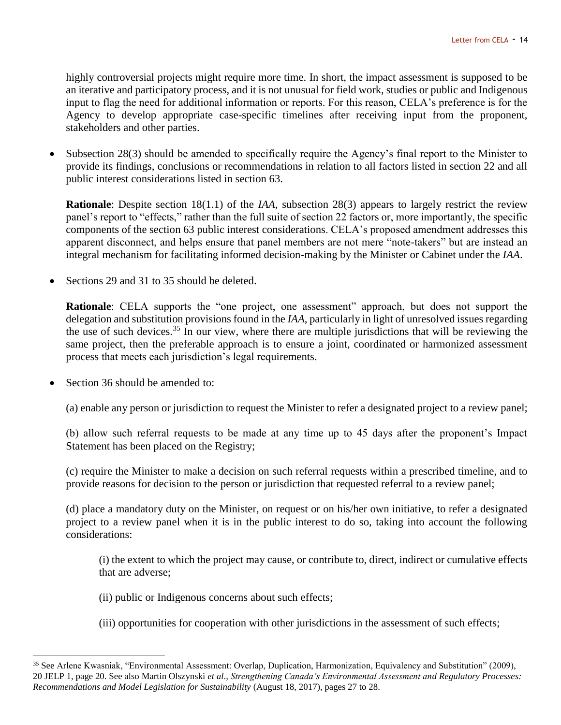highly controversial projects might require more time. In short, the impact assessment is supposed to be an iterative and participatory process, and it is not unusual for field work, studies or public and Indigenous input to flag the need for additional information or reports. For this reason, CELA's preference is for the Agency to develop appropriate case-specific timelines after receiving input from the proponent, stakeholders and other parties.

 Subsection 28(3) should be amended to specifically require the Agency's final report to the Minister to provide its findings, conclusions or recommendations in relation to all factors listed in section 22 and all public interest considerations listed in section 63.

**Rationale**: Despite section 18(1.1) of the *IAA*, subsection 28(3) appears to largely restrict the review panel's report to "effects," rather than the full suite of section 22 factors or, more importantly, the specific components of the section 63 public interest considerations. CELA's proposed amendment addresses this apparent disconnect, and helps ensure that panel members are not mere "note-takers" but are instead an integral mechanism for facilitating informed decision-making by the Minister or Cabinet under the *IAA*.

Sections 29 and 31 to 35 should be deleted.

**Rationale**: CELA supports the "one project, one assessment" approach, but does not support the delegation and substitution provisions found in the *IAA*, particularly in light of unresolved issues regarding the use of such devices.<sup>35</sup> In our view, where there are multiple jurisdictions that will be reviewing the same project, then the preferable approach is to ensure a joint, coordinated or harmonized assessment process that meets each jurisdiction's legal requirements.

Section 36 should be amended to:

 $\overline{a}$ 

(a) enable any person or jurisdiction to request the Minister to refer a designated project to a review panel;

(b) allow such referral requests to be made at any time up to 45 days after the proponent's Impact Statement has been placed on the Registry;

(c) require the Minister to make a decision on such referral requests within a prescribed timeline, and to provide reasons for decision to the person or jurisdiction that requested referral to a review panel;

(d) place a mandatory duty on the Minister, on request or on his/her own initiative, to refer a designated project to a review panel when it is in the public interest to do so, taking into account the following considerations:

(i) the extent to which the project may cause, or contribute to, direct, indirect or cumulative effects that are adverse;

- (ii) public or Indigenous concerns about such effects;
- (iii) opportunities for cooperation with other jurisdictions in the assessment of such effects;

<sup>35</sup> See Arlene Kwasniak, "Environmental Assessment: Overlap, Duplication, Harmonization, Equivalency and Substitution" (2009), 20 JELP 1, page 20. See also Martin Olszynski *et al*., *Strengthening Canada's Environmental Assessment and Regulatory Processes: Recommendations and Model Legislation for Sustainability* (August 18, 2017), pages 27 to 28.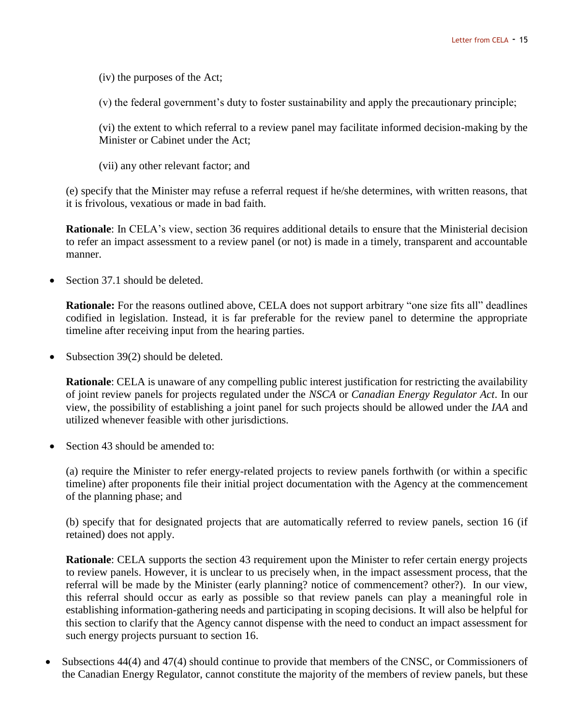(iv) the purposes of the Act;

(v) the federal government's duty to foster sustainability and apply the precautionary principle;

(vi) the extent to which referral to a review panel may facilitate informed decision-making by the Minister or Cabinet under the Act;

(vii) any other relevant factor; and

(e) specify that the Minister may refuse a referral request if he/she determines, with written reasons, that it is frivolous, vexatious or made in bad faith.

**Rationale**: In CELA's view, section 36 requires additional details to ensure that the Ministerial decision to refer an impact assessment to a review panel (or not) is made in a timely, transparent and accountable manner.

Section 37.1 should be deleted.

**Rationale:** For the reasons outlined above, CELA does not support arbitrary "one size fits all" deadlines codified in legislation. Instead, it is far preferable for the review panel to determine the appropriate timeline after receiving input from the hearing parties.

• Subsection  $39(2)$  should be deleted.

**Rationale**: CELA is unaware of any compelling public interest justification for restricting the availability of joint review panels for projects regulated under the *NSCA* or *Canadian Energy Regulator Act*. In our view, the possibility of establishing a joint panel for such projects should be allowed under the *IAA* and utilized whenever feasible with other jurisdictions.

• Section 43 should be amended to:

(a) require the Minister to refer energy-related projects to review panels forthwith (or within a specific timeline) after proponents file their initial project documentation with the Agency at the commencement of the planning phase; and

(b) specify that for designated projects that are automatically referred to review panels, section 16 (if retained) does not apply.

**Rationale**: CELA supports the section 43 requirement upon the Minister to refer certain energy projects to review panels. However, it is unclear to us precisely when, in the impact assessment process, that the referral will be made by the Minister (early planning? notice of commencement? other?). In our view, this referral should occur as early as possible so that review panels can play a meaningful role in establishing information-gathering needs and participating in scoping decisions. It will also be helpful for this section to clarify that the Agency cannot dispense with the need to conduct an impact assessment for such energy projects pursuant to section 16.

 Subsections 44(4) and 47(4) should continue to provide that members of the CNSC, or Commissioners of the Canadian Energy Regulator, cannot constitute the majority of the members of review panels, but these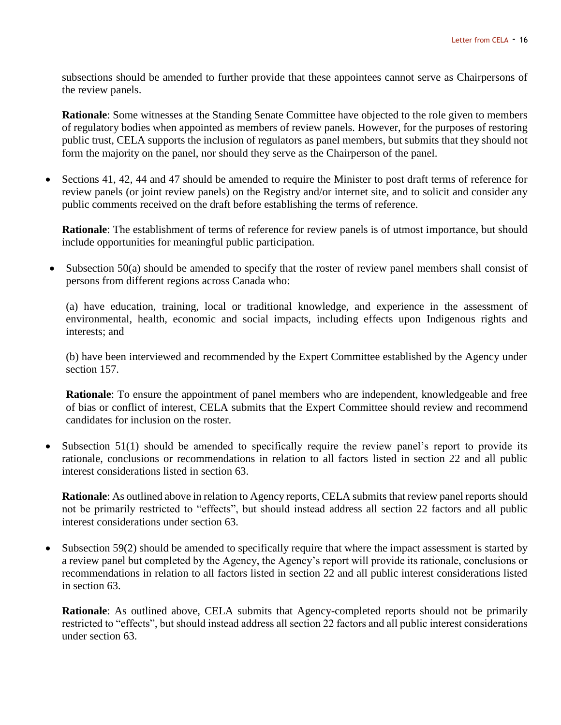subsections should be amended to further provide that these appointees cannot serve as Chairpersons of the review panels.

**Rationale**: Some witnesses at the Standing Senate Committee have objected to the role given to members of regulatory bodies when appointed as members of review panels. However, for the purposes of restoring public trust, CELA supports the inclusion of regulators as panel members, but submits that they should not form the majority on the panel, nor should they serve as the Chairperson of the panel.

• Sections 41, 42, 44 and 47 should be amended to require the Minister to post draft terms of reference for review panels (or joint review panels) on the Registry and/or internet site, and to solicit and consider any public comments received on the draft before establishing the terms of reference.

**Rationale**: The establishment of terms of reference for review panels is of utmost importance, but should include opportunities for meaningful public participation.

• Subsection 50(a) should be amended to specify that the roster of review panel members shall consist of persons from different regions across Canada who:

(a) have education, training, local or traditional knowledge, and experience in the assessment of environmental, health, economic and social impacts, including effects upon Indigenous rights and interests; and

(b) have been interviewed and recommended by the Expert Committee established by the Agency under section 157.

**Rationale**: To ensure the appointment of panel members who are independent, knowledgeable and free of bias or conflict of interest, CELA submits that the Expert Committee should review and recommend candidates for inclusion on the roster.

• Subsection 51(1) should be amended to specifically require the review panel's report to provide its rationale, conclusions or recommendations in relation to all factors listed in section 22 and all public interest considerations listed in section 63.

**Rationale:** As outlined above in relation to Agency reports, CELA submits that review panel reports should not be primarily restricted to "effects", but should instead address all section 22 factors and all public interest considerations under section 63.

 Subsection 59(2) should be amended to specifically require that where the impact assessment is started by a review panel but completed by the Agency, the Agency's report will provide its rationale, conclusions or recommendations in relation to all factors listed in section 22 and all public interest considerations listed in section 63.

**Rationale:** As outlined above, CELA submits that Agency-completed reports should not be primarily restricted to "effects", but should instead address all section 22 factors and all public interest considerations under section 63.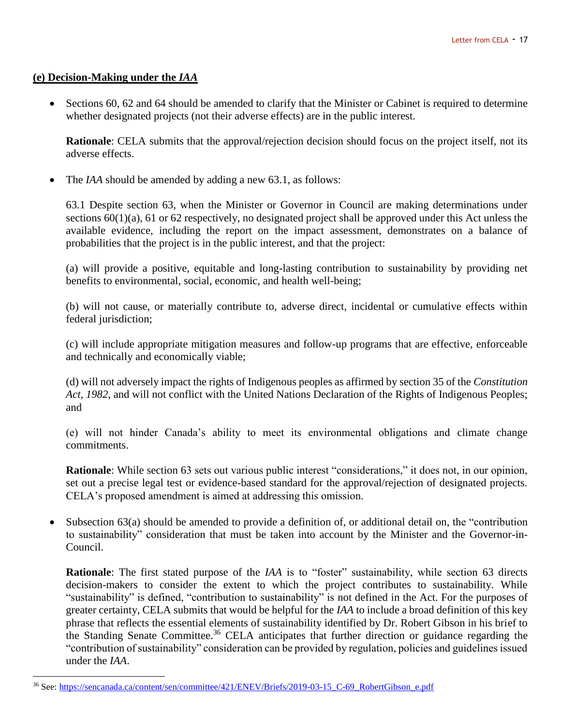## **(e) Decision-Making under the** *IAA*

 $\overline{a}$ 

 Sections 60, 62 and 64 should be amended to clarify that the Minister or Cabinet is required to determine whether designated projects (not their adverse effects) are in the public interest.

**Rationale**: CELA submits that the approval/rejection decision should focus on the project itself, not its adverse effects.

The *IAA* should be amended by adding a new 63.1, as follows:

63.1 Despite section 63, when the Minister or Governor in Council are making determinations under sections  $60(1)(a)$ , 61 or 62 respectively, no designated project shall be approved under this Act unless the available evidence, including the report on the impact assessment, demonstrates on a balance of probabilities that the project is in the public interest, and that the project:

(a) will provide a positive, equitable and long-lasting contribution to sustainability by providing net benefits to environmental, social, economic, and health well-being;

(b) will not cause, or materially contribute to, adverse direct, incidental or cumulative effects within federal jurisdiction;

(c) will include appropriate mitigation measures and follow-up programs that are effective, enforceable and technically and economically viable;

(d) will not adversely impact the rights of Indigenous peoples as affirmed by section 35 of the *Constitution Act, 1982*, and will not conflict with the United Nations Declaration of the Rights of Indigenous Peoples; and

(e) will not hinder Canada's ability to meet its environmental obligations and climate change commitments.

**Rationale**: While section 63 sets out various public interest "considerations," it does not, in our opinion, set out a precise legal test or evidence-based standard for the approval/rejection of designated projects. CELA's proposed amendment is aimed at addressing this omission.

 Subsection 63(a) should be amended to provide a definition of, or additional detail on, the "contribution to sustainability" consideration that must be taken into account by the Minister and the Governor-in-Council.

**Rationale**: The first stated purpose of the *IAA* is to "foster" sustainability, while section 63 directs decision-makers to consider the extent to which the project contributes to sustainability. While "sustainability" is defined, "contribution to sustainability" is not defined in the Act. For the purposes of greater certainty, CELA submits that would be helpful for the *IAA* to include a broad definition of this key phrase that reflects the essential elements of sustainability identified by Dr. Robert Gibson in his brief to the Standing Senate Committee.<sup>36</sup> CELA anticipates that further direction or guidance regarding the "contribution of sustainability" consideration can be provided by regulation, policies and guidelines issued under the *IAA*.

<sup>36</sup> See[: https://sencanada.ca/content/sen/committee/421/ENEV/Briefs/2019-03-15\\_C-69\\_RobertGibson\\_e.pdf](https://sencanada.ca/content/sen/committee/421/ENEV/Briefs/2019-03-15_C-69_RobertGibson_e.pdf)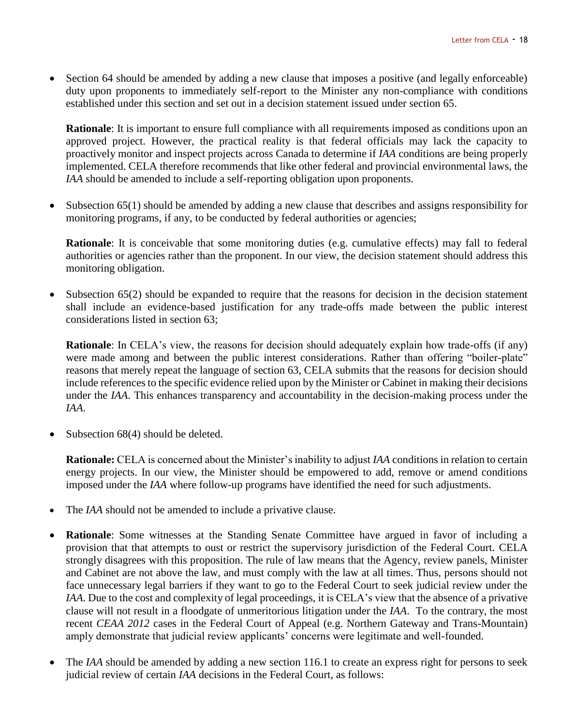Section 64 should be amended by adding a new clause that imposes a positive (and legally enforceable) duty upon proponents to immediately self-report to the Minister any non-compliance with conditions established under this section and set out in a decision statement issued under section 65.

**Rationale**: It is important to ensure full compliance with all requirements imposed as conditions upon an approved project. However, the practical reality is that federal officials may lack the capacity to proactively monitor and inspect projects across Canada to determine if *IAA* conditions are being properly implemented. CELA therefore recommends that like other federal and provincial environmental laws, the *IAA* should be amended to include a self-reporting obligation upon proponents.

 Subsection 65(1) should be amended by adding a new clause that describes and assigns responsibility for monitoring programs, if any, to be conducted by federal authorities or agencies;

**Rationale**: It is conceivable that some monitoring duties (e.g. cumulative effects) may fall to federal authorities or agencies rather than the proponent. In our view, the decision statement should address this monitoring obligation.

 Subsection 65(2) should be expanded to require that the reasons for decision in the decision statement shall include an evidence-based justification for any trade-offs made between the public interest considerations listed in section 63;

**Rationale**: In CELA's view, the reasons for decision should adequately explain how trade-offs (if any) were made among and between the public interest considerations. Rather than offering "boiler-plate" reasons that merely repeat the language of section 63, CELA submits that the reasons for decision should include references to the specific evidence relied upon by the Minister or Cabinet in making their decisions under the *IAA*. This enhances transparency and accountability in the decision-making process under the *IAA*.

Subsection 68(4) should be deleted.

**Rationale:** CELA is concerned about the Minister's inability to adjust *IAA* conditions in relation to certain energy projects. In our view, the Minister should be empowered to add, remove or amend conditions imposed under the *IAA* where follow-up programs have identified the need for such adjustments.

- The *IAA* should not be amended to include a privative clause.
- **Rationale**: Some witnesses at the Standing Senate Committee have argued in favor of including a provision that that attempts to oust or restrict the supervisory jurisdiction of the Federal Court. CELA strongly disagrees with this proposition. The rule of law means that the Agency, review panels, Minister and Cabinet are not above the law, and must comply with the law at all times. Thus, persons should not face unnecessary legal barriers if they want to go to the Federal Court to seek judicial review under the *IAA*. Due to the cost and complexity of legal proceedings, it is CELA's view that the absence of a privative clause will not result in a floodgate of unmeritorious litigation under the *IAA*. To the contrary, the most recent *CEAA 2012* cases in the Federal Court of Appeal (e.g. Northern Gateway and Trans-Mountain) amply demonstrate that judicial review applicants' concerns were legitimate and well-founded.
- The *IAA* should be amended by adding a new section 116.1 to create an express right for persons to seek judicial review of certain *IAA* decisions in the Federal Court, as follows: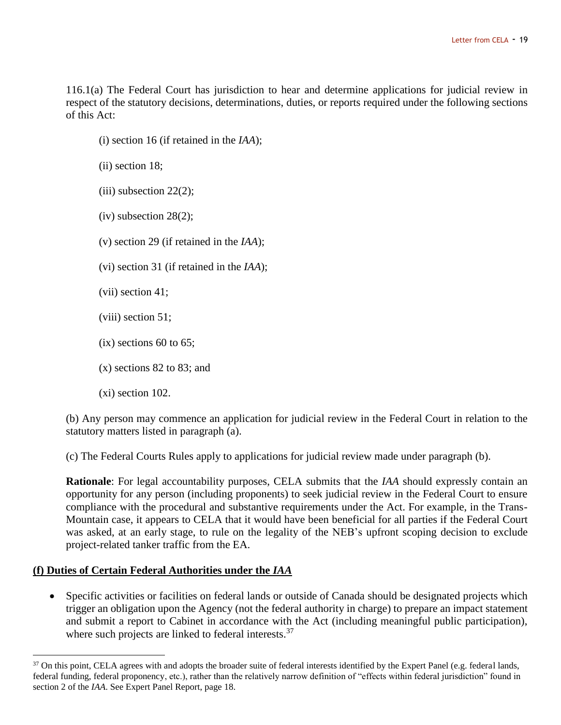116.1(a) The Federal Court has jurisdiction to hear and determine applications for judicial review in respect of the statutory decisions, determinations, duties, or reports required under the following sections of this Act:

(i) section 16 (if retained in the *IAA*);

(ii) section 18;

- $(iii)$  subsection 22 $(2)$ ;
- (iv) subsection 28(2);
- (v) section 29 (if retained in the *IAA*);
- (vi) section 31 (if retained in the *IAA*);
- (vii) section 41;
- (viii) section 51;
- $(ix)$  sections 60 to 65;
- (x) sections 82 to 83; and
- (xi) section 102.

(b) Any person may commence an application for judicial review in the Federal Court in relation to the statutory matters listed in paragraph (a).

(c) The Federal Courts Rules apply to applications for judicial review made under paragraph (b).

**Rationale**: For legal accountability purposes, CELA submits that the *IAA* should expressly contain an opportunity for any person (including proponents) to seek judicial review in the Federal Court to ensure compliance with the procedural and substantive requirements under the Act. For example, in the Trans-Mountain case, it appears to CELA that it would have been beneficial for all parties if the Federal Court was asked, at an early stage, to rule on the legality of the NEB's upfront scoping decision to exclude project-related tanker traffic from the EA.

## **(f) Duties of Certain Federal Authorities under the** *IAA*

 $\overline{a}$ 

 Specific activities or facilities on federal lands or outside of Canada should be designated projects which trigger an obligation upon the Agency (not the federal authority in charge) to prepare an impact statement and submit a report to Cabinet in accordance with the Act (including meaningful public participation), where such projects are linked to federal interests.<sup>37</sup>

<sup>&</sup>lt;sup>37</sup> On this point, CELA agrees with and adopts the broader suite of federal interests identified by the Expert Panel (e.g. federal lands, federal funding, federal proponency, etc.), rather than the relatively narrow definition of "effects within federal jurisdiction" found in section 2 of the *IAA*. See Expert Panel Report, page 18.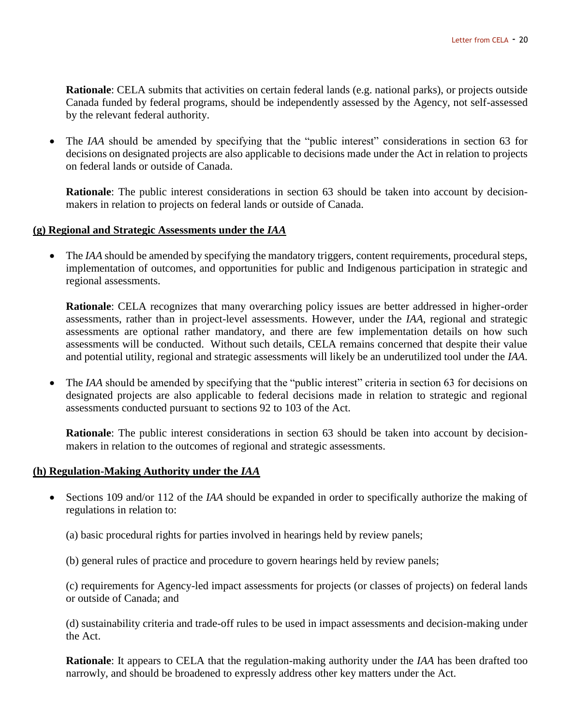**Rationale**: CELA submits that activities on certain federal lands (e.g. national parks), or projects outside Canada funded by federal programs, should be independently assessed by the Agency, not self-assessed by the relevant federal authority.

 The *IAA* should be amended by specifying that the "public interest" considerations in section 63 for decisions on designated projects are also applicable to decisions made under the Act in relation to projects on federal lands or outside of Canada.

**Rationale**: The public interest considerations in section 63 should be taken into account by decisionmakers in relation to projects on federal lands or outside of Canada.

## **(g) Regional and Strategic Assessments under the** *IAA*

 The *IAA* should be amended by specifying the mandatory triggers, content requirements, procedural steps, implementation of outcomes, and opportunities for public and Indigenous participation in strategic and regional assessments.

**Rationale**: CELA recognizes that many overarching policy issues are better addressed in higher-order assessments, rather than in project-level assessments. However, under the *IAA*, regional and strategic assessments are optional rather mandatory, and there are few implementation details on how such assessments will be conducted. Without such details, CELA remains concerned that despite their value and potential utility, regional and strategic assessments will likely be an underutilized tool under the *IAA*.

• The *IAA* should be amended by specifying that the "public interest" criteria in section 63 for decisions on designated projects are also applicable to federal decisions made in relation to strategic and regional assessments conducted pursuant to sections 92 to 103 of the Act.

**Rationale**: The public interest considerations in section 63 should be taken into account by decisionmakers in relation to the outcomes of regional and strategic assessments.

### **(h) Regulation-Making Authority under the** *IAA*

- Sections 109 and/or 112 of the *IAA* should be expanded in order to specifically authorize the making of regulations in relation to:
	- (a) basic procedural rights for parties involved in hearings held by review panels;
	- (b) general rules of practice and procedure to govern hearings held by review panels;

(c) requirements for Agency-led impact assessments for projects (or classes of projects) on federal lands or outside of Canada; and

(d) sustainability criteria and trade-off rules to be used in impact assessments and decision-making under the Act.

**Rationale**: It appears to CELA that the regulation-making authority under the *IAA* has been drafted too narrowly, and should be broadened to expressly address other key matters under the Act.